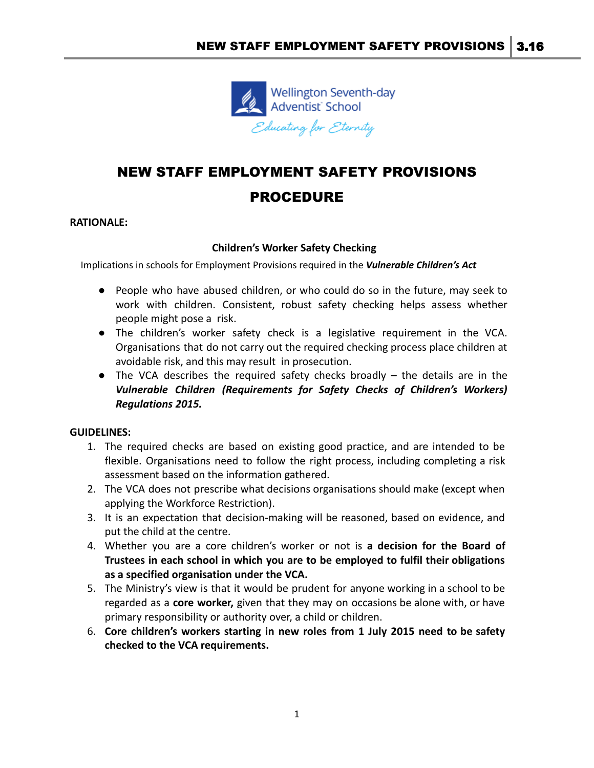

# NEW STAFF EMPLOYMENT SAFETY PROVISIONS PROCEDURE

#### **RATIONALE:**

## **Children's Worker Safety Checking**

Implications in schools for Employment Provisions required in the *Vulnerable Children's Act*

- People who have abused children, or who could do so in the future, may seek to work with children. Consistent, robust safety checking helps assess whether people might pose a risk.
- The children's worker safety check is a legislative requirement in the VCA. Organisations that do not carry out the required checking process place children at avoidable risk, and this may result in prosecution.
- *●* The VCA describes the required safety checks broadly the details are in the *Vulnerable Children (Requirements for Safety Checks of Children's Workers) Regulations 2015.*

## **GUIDELINES:**

- 1. The required checks are based on existing good practice, and are intended to be flexible. Organisations need to follow the right process, including completing a risk assessment based on the information gathered.
- 2. The VCA does not prescribe what decisions organisations should make (except when applying the Workforce Restriction).
- 3. It is an expectation that decision-making will be reasoned, based on evidence, and put the child at the centre.
- 4. Whether you are a core children's worker or not is **a decision for the Board of Trustees in each school in which you are to be employed to fulfil their obligations as a specified organisation under the VCA.**
- 5. The Ministry's view is that it would be prudent for anyone working in a school to be regarded as a **core worker,** given that they may on occasions be alone with, or have primary responsibility or authority over, a child or children.
- 6. **Core children's workers starting in new roles from 1 July 2015 need to be safety checked to the VCA requirements.**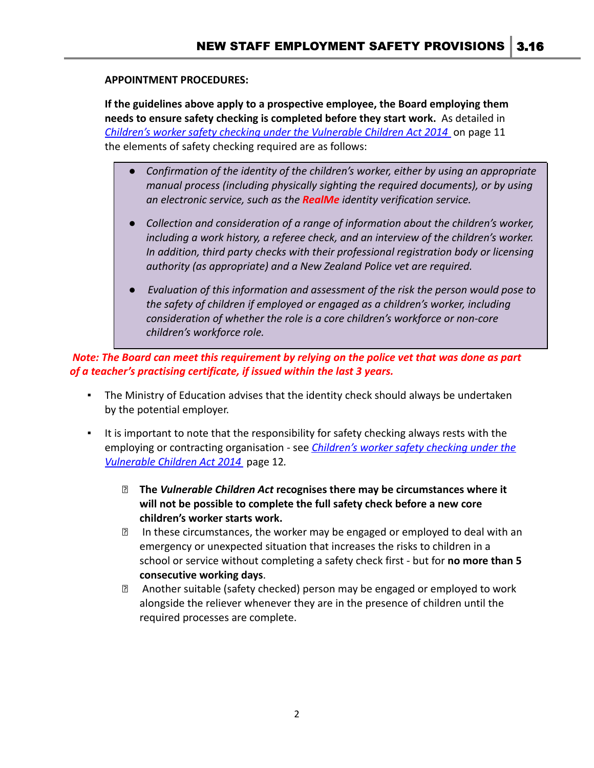#### **APPOINTMENT PROCEDURES:**

**If the guidelines above apply to a prospective employee, the Board employing them needs to ensure safety checking is completed before they start work.** As detailed in *[Children's worker safety checking under the Vulnerable](http://childrensactionplan.govt.nz/assets/CAP-Uploads/childrens-workforce/Childrens-worker-safety-checking-under-the-Vulnerable-Children-Act-RC-v1-02.pdf) Children Act 2014* on page 11 the elements of safety checking required are as follows:

- *Confirmation of the identity of the children's worker, either by using an appropriate manual process (including physically sighting the required documents), or by using an electronic service, such as the RealMe identity verification service.*
- *Collection and consideration of a range of information about the children's worker, including a work history, a referee check, and an interview of the children's worker. In addition, third party checks with their professional registration body or licensing authority (as appropriate) and a New Zealand Police vet are required.*
- *● Evaluation of this information and assessment of the risk the person would pose to the safety of children if employed or engaged as a children's worker, including consideration of whether the role is a core children's workforce or non-core children's workforce role.*

*Note: The Board can meet this requirement by relying on the police vet that was done as part of a teacher's practising certificate, if issued within the last 3 years.*

- The Ministry of Education advises that the identity check should always be undertaken by the potential employer.
- It is important to note that the responsibility for safety checking always rests with the employing or contracting organisation - see *Children's [worker safety checking under the](http://childrensactionplan.govt.nz/assets/CAP-Uploads/childrens-workforce/Childrens-worker-safety-checking-under-the-Vulnerable-Children-Act-RC-v1-02.pdf) [Vulnerable Children Act 2014](http://childrensactionplan.govt.nz/assets/CAP-Uploads/childrens-workforce/Childrens-worker-safety-checking-under-the-Vulnerable-Children-Act-RC-v1-02.pdf)* page 12*.*
	- ⮚ **The** *Vulnerable Children Act* **recognises there may be circumstances where it will not be possible to complete the full safety check before a new core children's worker starts work.**
	- ⮚ In these circumstances, the worker may be engaged or employed to deal with an emergency or unexpected situation that increases the risks to children in a school or service without completing a safety check first - but for **no more than 5 consecutive working days**.
	- ⮚ Another suitable (safety checked) person may be engaged or employed to work alongside the reliever whenever they are in the presence of children until the required processes are complete.